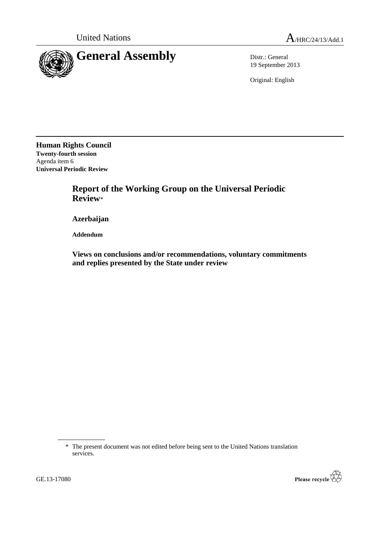

19 September 2013

Original: English

**Human Rights Council Twenty-fourth session** Agenda item 6 **Universal Periodic Review**

> **Report of the Working Group on the Universal Periodic Review**\*

**Azerbaijan**

**Addendum**

**Views on conclusions and/or recommendations, voluntary commitments and replies presented by the State under review**

\* The present document was not edited before being sent to the United Nations translation services.

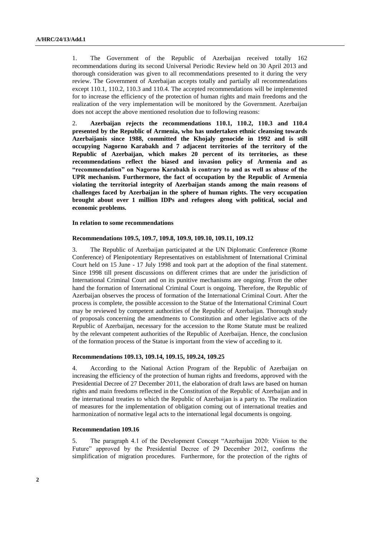1. The Government of the Republic of Azerbaijan received totally 162 recommendations during its second Universal Periodic Review held on 30 April 2013 and thorough consideration was given to all recommendations presented to it during the very review. The Government of Azerbaijan accepts totally and partially all recommendations except 110.1, 110.2, 110.3 and 110.4. The accepted recommendations will be implemented for to increase the efficiency of the protection of human rights and main freedoms and the realization of the very implementation will be monitored by the Government. Azerbaijan does not accept the above mentioned resolution due to following reasons:

2. **Azerbaijan rejects the recommendations 110.1, 110.2, 110.3 and 110.4 presented by the Republic of Armenia, who has undertaken ethnic cleansing towards Azerbaijanis since 1988, committed the Khojaly genocide in 1992 and is still occupying Nagorno Karabakh and 7 adjacent territories of the territory of the Republic of Azerbaijan, which makes 20 percent of its territories, as these recommendations reflect the biased and invasion policy of Armenia and as "recommendation" on Nagorno Karabakh is contrary to and as well as abuse of the UPR mechanism. Furthermore, the fact of occupation by the Republic of Armenia violating the territorial integrity of Azerbaijan stands among the main reasons of challenges faced by Azerbaijan in the sphere of human rights. The very occupation brought about over 1 million IDPs and refugees along with political, social and economic problems.**

**In relation to some recommendations**

### **Recommendations 109.5, 109.7, 109.8, 109.9, 109.10, 109.11, 109.12**

3. The Republic of Azerbaijan participated at the UN Diplomatic Conference (Rome Conference) of Plenipotentiary Representatives on establishment of International Criminal Court held on 15 June - 17 July 1998 and took part at the adoption of the final statement. Since 1998 till present discussions on different crimes that are under the jurisdiction of International Criminal Court and on its punitive mechanisms are ongoing. From the other hand the formation of International Criminal Court is ongoing. Therefore, the Republic of Azerbaijan observes the process of formation of the International Criminal Court. After the process is complete, the possible accession to the Statue of the International Criminal Court may be reviewed by competent authorities of the Republic of Azerbaijan. Thorough study of proposals concerning the amendments to Constitution and other legislative acts of the Republic of Azerbaijan, necessary for the accession to the Rome Statute must be realized by the relevant competent authorities of the Republic of Azerbaijan. Hence, the conclusion of the formation process of the Statue is important from the view of acceding to it.

## **Recommendations 109.13, 109.14, 109.15, 109.24, 109.25**

4. According to the National Action Program of the Republic of Azerbaijan on increasing the efficiency of the protection of human rights and freedoms, approved with the Presidential Decree of 27 December 2011, the elaboration of draft laws are based on human rights and main freedoms reflected in the Constitution of the Republic of Azerbaijan and in the international treaties to which the Republic of Azerbaijan is a party to. The realization of measures for the implementation of obligation coming out of international treaties and harmonization of normative legal acts to the international legal documents is ongoing.

## **Recommendation 109.16**

5. The paragraph 4.1 of the Development Concept "Azerbaijan 2020: Vision to the Future" approved by the Presidential Decree of 29 December 2012, confirms the simplification of migration procedures. Furthermore, for the protection of the rights of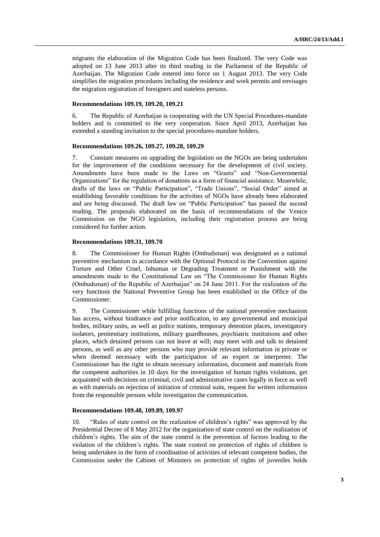migrants the elaboration of the Migration Code has been finalized. The very Code was adopted on 13 June 2013 after its third reading in the Parliament of the Republic of Azerbaijan. The Migration Code entered into force on 1 August 2013. The very Code simplifies the migration procedures including the residence and work permits and envisages the migration registration of foreigners and stateless persons.

## **Recommendations 109.19, 109.20, 109.21**

6. The Republic of Azerbaijan is cooperating with the UN Special Procedures-mandate holders and is committed to the very cooperation. Since April 2013, Azerbaijan has extended a standing invitation to the special procedures-mandate holders.

#### **Recommendations 109.26, 109.27, 109.28, 109.29**

7. Constant measures on upgrading the legislation on the NGOs are being undertaken for the improvement of the conditions necessary for the development of civil society. Amendments have been made to the Laws on "Grants" and "Non-Governmental Organizations" for the regulation of donations as a form of financial assistance. Meanwhile, drafts of the laws on "Public Participation", "Trade Unions", "Social Order" aimed at establishing favorable conditions for the activities of NGOs have already been elaborated and are being discussed. The draft law on "Public Participation" has passed the second reading. The proposals elaborated on the basis of recommendations of the Venice Commission on the NGO legislation, including their registration process are being considered for further action.

## **Recommendations 109.31, 109.70**

8. The Commissioner for Human Rights (Ombudsman) was designated as a national preventive mechanism in accordance with the Optional Protocol to the Convention against Torture and Other Cruel, Inhuman or Degrading Treatment or Punishment with the amendments made to the Constitutional Law on "The Commissioner for Human Rights (Ombudsman) of the Republic of Azerbaijan" on 24 June 2011. For the realization of the very functions the National Preventive Group has been established in the Office of the Commissioner.

9. The Commissioner while fulfilling functions of the national preventive mechanism has access, without hindrance and prior notification, to any governmental and municipal bodies, military units, as well as police stations, temporary detention places, investigatory isolators, penitentiary institutions, military guardhouses, psychiatric institutions and other places, which detained persons can not leave at will; may meet with and talk to detained persons, as well as any other persons who may provide relevant information in private or when deemed necessary with the participation of an expert or interpreter. The Commissioner has the right to obtain necessary information, document and materials from the competent authorities in 10 days for the investigation of human rights violations, get acquainted with decisions on criminal, civil and administrative cases legally in force as well as with materials on rejection of initiation of criminal suits, request for written information from the responsible persons while investigation the communication.

## **Recommendations 109.48, 109.89, 109.97**

10. "Rules of state control on the realization of children's rights" was approved by the Presidential Decree of 8 May 2012 for the organization of state control on the realization of children`s rights. The aim of the state control is the prevention of factors leading to the violation of the children`s rights. The state control on protection of rights of children is being undertaken in the form of coordination of activities of relevant competent bodies, the Commission under the Cabinet of Ministers on protection of rights of juveniles holds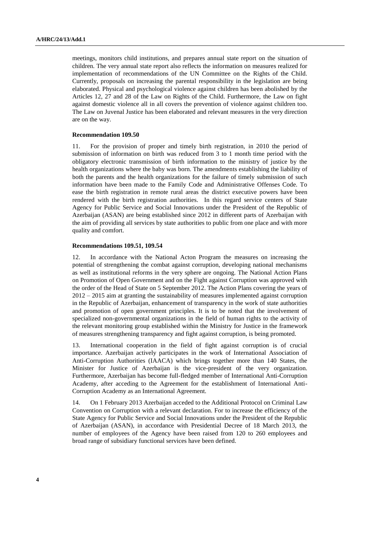meetings, monitors child institutions, and prepares annual state report on the situation of children. The very annual state report also reflects the information on measures realized for implementation of recommendations of the UN Committee on the Rights of the Child. Currently, proposals on increasing the parental responsibility in the legislation are being elaborated. Physical and psychological violence against children has been abolished by the Articles 12, 27 and 28 of the Law on Rights of the Child. Furthermore, the Law on fight against domestic violence all in all covers the prevention of violence against children too. The Law on Juvenal Justice has been elaborated and relevant measures in the very direction are on the way.

#### **Recommendation 109.50**

11. For the provision of proper and timely birth registration, in 2010 the period of submission of information on birth was reduced from 3 to 1 month time period with the obligatory electronic transmission of birth information to the ministry of justice by the health organizations where the baby was born. The amendments establishing the liability of both the parents and the health organizations for the failure of timely submission of such information have been made to the Family Code and Administrative Offenses Code. To ease the birth registration in remote rural areas the district executive powers have been rendered with the birth registration authorities. In this regard service centers of State Agency for Public Service and Social Innovations under the President of the Republic of Azerbaijan (ASAN) are being established since 2012 in different parts of Azerbaijan with the aim of providing all services by state authorities to public from one place and with more quality and comfort.

#### **Recommendations 109.51, 109.54**

12. In accordance with the National Acton Program the measures on increasing the potential of strengthening the combat against corruption, developing national mechanisms as well as institutional reforms in the very sphere are ongoing. The National Action Plans on Promotion of Open Government and on the Fight against Corruption was approved with the order of the Head of State on 5 September 2012. The Action Plans covering the years of 2012 – 2015 aim at granting the sustainability of measures implemented against corruption in the Republic of Azerbaijan, enhancement of transparency in the work of state authorities and promotion of open government principles. It is to be noted that the involvement of specialized non-governmental organizations in the field of human rights to the activity of the relevant monitoring group established within the Ministry for Justice in the framework of measures strengthening transparency and fight against corruption, is being promoted.

13. International cooperation in the field of fight against corruption is of crucial importance. Azerbaijan actively participates in the work of International Association of Anti-Corruption Authorities (IAACA) which brings together more than 140 States, the Minister for Justice of Azerbaijan is the vice-president of the very organization. Furthermore, Azerbaijan has become full-fledged member of International Anti-Corruption Academy, after acceding to the Agreement for the establishment of International Anti-Corruption Academy as an International Agreement.

14. On 1 February 2013 Azerbaijan acceded to the Additional Protocol on Criminal Law Convention on Corruption with a relevant declaration. For to increase the efficiency of the State Agency for Public Service and Social Innovations under the President of the Republic of Azerbaijan (ASAN), in accordance with Presidential Decree of 18 March 2013, the number of employees of the Agency have been raised from 120 to 260 employees and broad range of subsidiary functional services have been defined.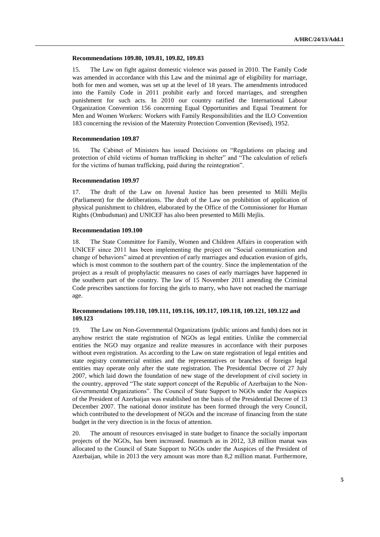### **Recommendations 109.80, 109.81, 109.82, 109.83**

15. The Law on fight against domestic violence was passed in 2010. The Family Code was amended in accordance with this Law and the minimal age of eligibility for marriage, both for men and women, was set up at the level of 18 years. The amendments introduced into the Family Code in 2011 prohibit early and forced marriages, and strengthen punishment for such acts. In 2010 our country ratified the International Labour Organization Convention 156 concerning Equal Opportunities and Equal Treatment for Men and Women Workers: Workers with Family Responsibilities and the ILO Convention 183 concerning the revision of the Maternity Protection Convention (Revised), 1952.

## **Recommendation 109.87**

16. The Cabinet of Ministers has issued Decisions on "Regulations on placing and protection of child victims of human trafficking in shelter" and "The calculation of reliefs for the victims of human trafficking, paid during the reintegration".

#### **Recommendation 109.97**

17. The draft of the Law on Juvenal Justice has been presented to Milli Mejlis (Parliament) for the deliberations. The draft of the Law on prohibition of application of physical punishment to children, elaborated by the Office of the Commissioner for Human Rights (Ombudsman) and UNICEF has also been presented to Milli Mejlis.

### **Recommendation 109.100**

18. The State Committee for Family, Women and Children Affairs in cooperation with UNICEF since 2011 has been implementing the project on "Social communication and change of behaviors" aimed at prevention of early marriages and education evasion of girls, which is most common to the southern part of the country. Since the implementation of the project as a result of prophylactic measures no cases of early marriages have happened in the southern part of the country. The law of 15 November 2011 amending the Criminal Code prescribes sanctions for forcing the girls to marry, who have not reached the marriage age.

# **Recommendations 109.110, 109.111, 109.116, 109.117, 109.118, 109.121, 109.122 and 109.123**

19. The Law on Non-Governmental Organizations (public unions and funds) does not in anyhow restrict the state registration of NGOs as legal entities. Unlike the commercial entities the NGO may organize and realize measures in accordance with their purposes without even registration. As according to the Law on state registration of legal entities and state registry commercial entities and the representatives or branches of foreign legal entities may operate only after the state registration. The Presidential Decree of 27 July 2007, which laid down the foundation of new stage of the development of civil society in the country, approved "The state support concept of the Republic of Azerbaijan to the Non-Governmental Organizations". The Council of State Support to NGOs under the Auspices of the President of Azerbaijan was established on the basis of the Presidential Decree of 13 December 2007. The national donor institute has been formed through the very Council, which contributed to the development of NGOs and the increase of financing from the state budget in the very direction is in the focus of attention.

20. The amount of resources envisaged in state budget to finance the socially important projects of the NGOs, has been increased. Inasmuch as in 2012, 3,8 million manat was allocated to the Council of State Support to NGOs under the Auspices of the President of Azerbaijan, while in 2013 the very amount was more than 8,2 million manat. Furthermore,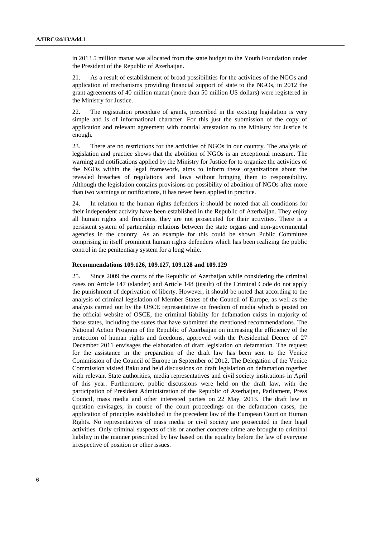in 2013 5 million manat was allocated from the state budget to the Youth Foundation under the President of the Republic of Azerbaijan.

21. As a result of establishment of broad possibilities for the activities of the NGOs and application of mechanisms providing financial support of state to the NGOs, in 2012 the grant agreements of 40 million manat (more than 50 million US dollars) were registered in the Ministry for Justice.

22. The registration procedure of grants, prescribed in the existing legislation is very simple and is of informational character. For this just the submission of the copy of application and relevant agreement with notarial attestation to the Ministry for Justice is enough.

23. There are no restrictions for the activities of NGOs in our country. The analysis of legislation and practice shows that the abolition of NGOs is an exceptional measure. The warning and notifications applied by the Ministry for Justice for to organize the activities of the NGOs within the legal framework, aims to inform these organizations about the revealed breaches of regulations and laws without bringing them to responsibility. Although the legislation contains provisions on possibility of abolition of NGOs after more than two warnings or notifications, it has never been applied in practice.

24. In relation to the human rights defenders it should be noted that all conditions for their independent activity have been established in the Republic of Azerbaijan. They enjoy all human rights and freedoms, they are not prosecuted for their activities. There is a persistent system of partnership relations between the state organs and non-governmental agencies in the country. As an example for this could be shown Public Committee comprising in itself prominent human rights defenders which has been realizing the public control in the penitentiary system for a long while.

#### **Recommendations 109.126, 109.127, 109.128 and 109.129**

25. Since 2009 the courts of the Republic of Azerbaijan while considering the criminal cases on Article 147 (slander) and Article 148 (insult) of the Criminal Code do not apply the punishment of deprivation of liberty. However, it should be noted that according to the analysis of criminal legislation of Member States of the Council of Europe, as well as the analysis carried out by the OSCE representative on freedom of media which is posted on the official website of OSCE, the criminal liability for defamation exists in majority of those states, including the states that have submitted the mentioned recommendations. The National Action Program of the Republic of Azerbaijan on increasing the efficiency of the protection of human rights and freedoms, approved with the Presidential Decree of 27 December 2011 envisages the elaboration of draft legislation on defamation. The request for the assistance in the preparation of the draft law has been sent to the Venice Commission of the Council of Europe in September of 2012. The Delegation of the Venice Commission visited Baku and held discussions on draft legislation on defamation together with relevant State authorities, media representatives and civil society institutions in April of this year. Furthermore, public discussions were held on the draft law, with the participation of President Administration of the Republic of Azerbaijan, Parliament, Press Council, mass media and other interested parties on 22 May, 2013. The draft law in question envisages, in course of the court proceedings on the defamation cases, the application of principles established in the precedent law of the European Court on Human Rights. No representatives of mass media or civil society are prosecuted in their legal activities. Only criminal suspects of this or another concrete crime are brought to criminal liability in the manner prescribed by law based on the equality before the law of everyone irrespective of position or other issues.